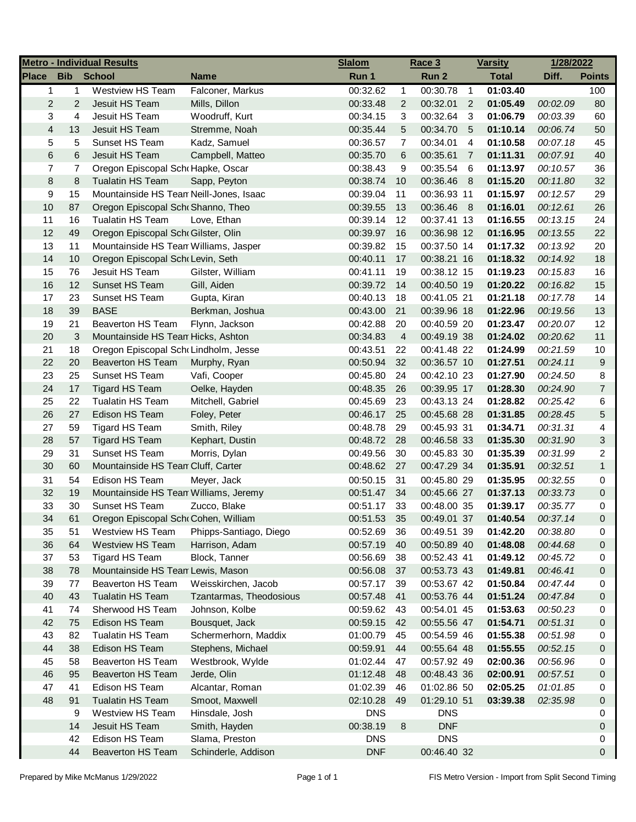| <b>Bib</b><br><b>School</b><br>Run 1<br>Run 2<br><b>Total</b><br>Diff.<br><b>Points</b><br><b>Name</b><br>Westview HS Team<br>Falconer, Markus<br>00:30.78<br>01:03.40<br>$\mathbf{1}$<br>00:32.62<br>$\overline{1}$<br>100<br>$\mathbf{1}$<br>$\mathbf{1}$<br>2<br>Jesuit HS Team<br>00:32.01<br>2<br>Mills, Dillon<br>00:33.48<br>2<br>01:05.49<br>00:02.09<br>80<br>$\overline{2}$<br>3<br>4<br>Jesuit HS Team<br>00:32.64<br>Woodruff, Kurt<br>00:34.15<br>3<br>-3<br>01:06.79<br>00:03.39<br>60<br>$\overline{\mathbf{4}}$<br>13<br>Jesuit HS Team<br>5<br>00:34.70<br>01:10.14<br>Stremme, Noah<br>00:35.44<br>- 5<br>00:06.74<br>50<br>5<br>5<br>Sunset HS Team<br>Kadz, Samuel<br>00:34.01<br>$\overline{4}$<br>01:10.58<br>45<br>00:36.57<br>7<br>00:07.18<br>6<br>6<br>Jesuit HS Team<br>00:35.61<br>01:11.31<br>40<br>Campbell, Matteo<br>00:35.70<br>6<br>$\overline{7}$<br>00:07.91<br>7<br>7<br>9<br>00:35.54<br>01:13.97<br>36<br>Oregon Episcopal Schr Hapke, Oscar<br>00:38.43<br>-6<br>00:10.57<br>8<br>00:36.46<br>01:15.20<br>32<br>8<br><b>Tualatin HS Team</b><br>Sapp, Peyton<br>00:38.74<br>10<br>- 8<br>00:11.80<br>9<br>15<br>Mountainside HS Tean Neill-Jones, Isaac<br>00:39.04<br>00:36.93 11<br>01:15.97<br>29<br>11<br>00:12.57<br>10<br>87<br>00:39.55<br>00:36.46 8<br>01:16.01<br>00:12.61<br>26<br>Oregon Episcopal Sch Shanno, Theo<br>13<br>11<br>16<br>Tualatin HS Team<br>00:39.14<br>12<br>00:37.41 13<br>01:16.55<br>24<br>Love, Ethan<br>00:13.15<br>12<br>49<br>Oregon Episcopal Scho Gilster, Olin<br>00:39.97<br>16<br>00:36.98 12<br>01:16.95<br>22<br>00:13.55<br>13<br>11<br>Mountainside HS Tean Williams, Jasper<br>00:39.82<br>15<br>00:37.50 14<br>01:17.32<br>00:13.92<br>20<br>14<br>10<br>00:40.11<br>17<br>00:38.21 16<br>01:18.32<br>Oregon Episcopal Schr Levin, Seth<br>00:14.92<br>18<br>15<br>76<br>Jesuit HS Team<br>00:38.12 15<br>Gilster, William<br>00:41.11<br>19<br>01:19.23<br>00:15.83<br>16<br>16<br>12<br>Sunset HS Team<br>Gill, Aiden<br>00:39.72<br>14<br>00:40.50 19<br>01:20.22<br>15<br>00:16.82<br>17<br>23<br>Sunset HS Team<br>Gupta, Kiran<br>00:40.13<br>00:41.05 21<br>01:21.18<br>14<br>18<br>00:17.78<br>18<br>39<br><b>BASE</b><br>Berkman, Joshua<br>00:43.00<br>00:39.96 18<br>01:22.96<br>13<br>21<br>00:19.56<br>19<br>21<br><b>Beaverton HS Team</b><br>00:42.88<br>20<br>00:40.59 20<br>01:23.47<br>12<br>Flynn, Jackson<br>00:20.07<br>20<br>3<br>Mountainside HS Tean Hicks, Ashton<br>00:49.19 38<br>01:24.02<br>11<br>00:34.83<br>4<br>00:20.62<br>21<br>18<br>Oregon Episcopal SchoLindholm, Jesse<br>10<br>00:43.51<br>22<br>00:41.48 22<br>01:24.99<br>00:21.59<br>22<br>20<br><b>Beaverton HS Team</b><br>32<br>00:36.57 10<br>01:27.51<br>9<br>00:50.94<br>00:24.11<br>Murphy, Ryan<br>Sunset HS Team<br>23<br>25<br>00:45.80<br>24<br>00:42.10 23<br>01:27.90<br>8<br>Vafi, Cooper<br>00:24.50<br>24<br>17<br><b>Tigard HS Team</b><br>00:39.95 17<br>01:28.30<br>$\overline{7}$<br>Oelke, Hayden<br>00:48.35<br>26<br>00:24.90<br>25<br>22<br><b>Tualatin HS Team</b><br>Mitchell, Gabriel<br>00:45.69<br>23<br>00:43.13 24<br>01:28.82<br>00:25.42<br>6<br>26<br>27<br>Edison HS Team<br>00:46.17<br>00:45.68 28<br>01:31.85<br>5<br>Foley, Peter<br>25<br>00:28.45<br>27<br>59<br>4<br>Tigard HS Team<br>Smith, Riley<br>00:48.78<br>29<br>00:45.93 31<br>01:34.71<br>00:31.31<br>28<br>57<br>00:46.58 33<br>3<br><b>Tigard HS Team</b><br>Kephart, Dustin<br>00:48.72<br>28<br>01:35.30<br>00:31.90<br>29<br>31<br>Sunset HS Team<br>2<br>Morris, Dylan<br>00:49.56<br>30<br>00:45.83 30<br>01:35.39<br>00:31.99<br>30<br>00:48.62<br>$\mathbf{1}$<br>60<br>Mountainside HS Tean Cluff, Carter<br>27<br>00:47.29 34<br>01:35.91<br>00:32.51<br>31<br>54<br>Edison HS Team<br>00:50.15<br>31<br>00:45.80 29<br>01:35.95<br>0<br>Meyer, Jack<br>00:32.55<br>32<br>19<br>01:37.13<br>0<br>Mountainside HS Tean Williams, Jeremy<br>00:51.47<br>34<br>00:45.66 27<br>00:33.73<br>33<br>30<br>Sunset HS Team<br>00:51.17<br>33<br>00:48.00 35<br>01:39.17<br>00:35.77<br>0<br>Zucco, Blake<br>34<br>61<br>Oregon Episcopal Sch Cohen, William<br>00:51.53<br>35<br>00:49.01 37<br>01:40.54<br>00:37.14<br>$\Omega$<br>Westview HS Team<br>Phipps-Santiago, Diego<br>35<br>51<br>00:52.69<br>36<br>00:49.51 39<br>01:42.20<br>00:38.80<br>0<br>36<br>64<br><b>Westview HS Team</b><br>Harrison, Adam<br>00:57.19<br>40<br>00:50.89 40<br>01:48.08<br>00:44.68<br>0<br>37<br>53<br>Tigard HS Team<br>Block, Tanner<br>00:56.69<br>38<br>00:52.43 41<br>01:49.12<br>00:45.72<br>0<br>38<br>Mountainside HS Tean Lewis, Mason<br>00:56.08<br>00:53.73 43<br>01:49.81<br>78<br>37<br>00:46.41<br>0<br>39<br>00:53.67 42<br>01:50.84<br>Beaverton HS Team<br>Weisskirchen, Jacob<br>00:57.17<br>39<br>00:47.44<br>77<br>0<br>40<br><b>Tualatin HS Team</b><br>00:53.76 44<br>01:51.24<br>00:47.84<br>43<br>Tzantarmas, Theodosious<br>00:57.48<br>41<br>0<br>41<br>Sherwood HS Team<br>Johnson, Kolbe<br>00:59.62<br>00:54.01 45<br>01:53.63<br>00:50.23<br>74<br>43<br>0<br>42<br>Edison HS Team<br>Bousquet, Jack<br>00:55.56 47<br>01:54.71<br>00:51.31<br>75<br>00:59.15<br>0<br>42<br>43<br>Schermerhorn, Maddix<br>00:54.59 46<br>82<br><b>Tualatin HS Team</b><br>01:00.79<br>45<br>01:55.38<br>00:51.98<br>0<br>44<br>38<br>Edison HS Team<br>Stephens, Michael<br>00:59.91<br>00:55.64 48<br>01:55.55<br>00:52.15<br>44<br>0<br>45<br>58<br>Beaverton HS Team<br>Westbrook, Wylde<br>01:02.44<br>00:57.92 49<br>02:00.36<br>47<br>00:56.96<br>0<br>46<br>95<br><b>Beaverton HS Team</b><br>01:12.48<br>Jerde, Olin<br>48<br>00:48.43 36<br>02:00.91<br>00:57.51<br>0<br>47<br>41<br>Edison HS Team<br>Alcantar, Roman<br>01:02.39<br>01:02.86 50<br>02:05.25<br>46<br>01:01.85<br>0<br>48<br>91<br><b>Tualatin HS Team</b><br>Smoot, Maxwell<br>02:10.28<br>49<br>01:29.10 51<br>03:39.38<br>02:35.98<br>0<br><b>DNS</b><br><b>DNS</b><br>9<br>Westview HS Team<br>Hinsdale, Josh<br>0<br>14<br>Jesuit HS Team<br>00:38.19<br>8<br><b>DNF</b><br>Smith, Hayden<br>0<br><b>DNS</b><br>Edison HS Team<br>Slama, Preston<br><b>DNS</b><br>42<br>0<br>00:46.40 32 | <b>Metro - Individual Results</b> |    |                          |                     | <b>Slalom</b> | Race 3 |  | <b>Varsity</b> | 1/28/2022 |   |
|------------------------------------------------------------------------------------------------------------------------------------------------------------------------------------------------------------------------------------------------------------------------------------------------------------------------------------------------------------------------------------------------------------------------------------------------------------------------------------------------------------------------------------------------------------------------------------------------------------------------------------------------------------------------------------------------------------------------------------------------------------------------------------------------------------------------------------------------------------------------------------------------------------------------------------------------------------------------------------------------------------------------------------------------------------------------------------------------------------------------------------------------------------------------------------------------------------------------------------------------------------------------------------------------------------------------------------------------------------------------------------------------------------------------------------------------------------------------------------------------------------------------------------------------------------------------------------------------------------------------------------------------------------------------------------------------------------------------------------------------------------------------------------------------------------------------------------------------------------------------------------------------------------------------------------------------------------------------------------------------------------------------------------------------------------------------------------------------------------------------------------------------------------------------------------------------------------------------------------------------------------------------------------------------------------------------------------------------------------------------------------------------------------------------------------------------------------------------------------------------------------------------------------------------------------------------------------------------------------------------------------------------------------------------------------------------------------------------------------------------------------------------------------------------------------------------------------------------------------------------------------------------------------------------------------------------------------------------------------------------------------------------------------------------------------------------------------------------------------------------------------------------------------------------------------------------------------------------------------------------------------------------------------------------------------------------------------------------------------------------------------------------------------------------------------------------------------------------------------------------------------------------------------------------------------------------------------------------------------------------------------------------------------------------------------------------------------------------------------------------------------------------------------------------------------------------------------------------------------------------------------------------------------------------------------------------------------------------------------------------------------------------------------------------------------------------------------------------------------------------------------------------------------------------------------------------------------------------------------------------------------------------------------------------------------------------------------------------------------------------------------------------------------------------------------------------------------------------------------------------------------------------------------------------------------------------------------------------------------------------------------------------------------------------------------------------------------------------------------------------------------------------------------------------------------------------------------------------------------------------------------------------------------------------------------------------------------------------------------------------------------------------------------------------------------------------------------------------------------------------------------------------------------------------------------------------------------------------------------------------------------------------------------------------------------------------------------------------------------------------------------------------------------------------------------------------------------------------------------------------------------------------------------------------------------------------------------------------------------------------------------------------------------------------------------------------------------------------------------------------------------------------------------------------------------------------------------------------------------------------------------------------------------------------------------------------------------------------------------------------------------------------------------------------------------------------------------------------------------------------------------------------------------------------|-----------------------------------|----|--------------------------|---------------------|---------------|--------|--|----------------|-----------|---|
|                                                                                                                                                                                                                                                                                                                                                                                                                                                                                                                                                                                                                                                                                                                                                                                                                                                                                                                                                                                                                                                                                                                                                                                                                                                                                                                                                                                                                                                                                                                                                                                                                                                                                                                                                                                                                                                                                                                                                                                                                                                                                                                                                                                                                                                                                                                                                                                                                                                                                                                                                                                                                                                                                                                                                                                                                                                                                                                                                                                                                                                                                                                                                                                                                                                                                                                                                                                                                                                                                                                                                                                                                                                                                                                                                                                                                                                                                                                                                                                                                                                                                                                                                                                                                                                                                                                                                                                                                                                                                                                                                                                                                                                                                                                                                                                                                                                                                                                                                                                                                                                                                                                                                                                                                                                                                                                                                                                                                                                                                                                                                                                                                                                                                                                                                                                                                                                                                                                                                                                                                                                                                                                                                                        | <b>Place</b>                      |    |                          |                     |               |        |  |                |           |   |
|                                                                                                                                                                                                                                                                                                                                                                                                                                                                                                                                                                                                                                                                                                                                                                                                                                                                                                                                                                                                                                                                                                                                                                                                                                                                                                                                                                                                                                                                                                                                                                                                                                                                                                                                                                                                                                                                                                                                                                                                                                                                                                                                                                                                                                                                                                                                                                                                                                                                                                                                                                                                                                                                                                                                                                                                                                                                                                                                                                                                                                                                                                                                                                                                                                                                                                                                                                                                                                                                                                                                                                                                                                                                                                                                                                                                                                                                                                                                                                                                                                                                                                                                                                                                                                                                                                                                                                                                                                                                                                                                                                                                                                                                                                                                                                                                                                                                                                                                                                                                                                                                                                                                                                                                                                                                                                                                                                                                                                                                                                                                                                                                                                                                                                                                                                                                                                                                                                                                                                                                                                                                                                                                                                        |                                   |    |                          |                     |               |        |  |                |           |   |
|                                                                                                                                                                                                                                                                                                                                                                                                                                                                                                                                                                                                                                                                                                                                                                                                                                                                                                                                                                                                                                                                                                                                                                                                                                                                                                                                                                                                                                                                                                                                                                                                                                                                                                                                                                                                                                                                                                                                                                                                                                                                                                                                                                                                                                                                                                                                                                                                                                                                                                                                                                                                                                                                                                                                                                                                                                                                                                                                                                                                                                                                                                                                                                                                                                                                                                                                                                                                                                                                                                                                                                                                                                                                                                                                                                                                                                                                                                                                                                                                                                                                                                                                                                                                                                                                                                                                                                                                                                                                                                                                                                                                                                                                                                                                                                                                                                                                                                                                                                                                                                                                                                                                                                                                                                                                                                                                                                                                                                                                                                                                                                                                                                                                                                                                                                                                                                                                                                                                                                                                                                                                                                                                                                        |                                   |    |                          |                     |               |        |  |                |           |   |
|                                                                                                                                                                                                                                                                                                                                                                                                                                                                                                                                                                                                                                                                                                                                                                                                                                                                                                                                                                                                                                                                                                                                                                                                                                                                                                                                                                                                                                                                                                                                                                                                                                                                                                                                                                                                                                                                                                                                                                                                                                                                                                                                                                                                                                                                                                                                                                                                                                                                                                                                                                                                                                                                                                                                                                                                                                                                                                                                                                                                                                                                                                                                                                                                                                                                                                                                                                                                                                                                                                                                                                                                                                                                                                                                                                                                                                                                                                                                                                                                                                                                                                                                                                                                                                                                                                                                                                                                                                                                                                                                                                                                                                                                                                                                                                                                                                                                                                                                                                                                                                                                                                                                                                                                                                                                                                                                                                                                                                                                                                                                                                                                                                                                                                                                                                                                                                                                                                                                                                                                                                                                                                                                                                        |                                   |    |                          |                     |               |        |  |                |           |   |
|                                                                                                                                                                                                                                                                                                                                                                                                                                                                                                                                                                                                                                                                                                                                                                                                                                                                                                                                                                                                                                                                                                                                                                                                                                                                                                                                                                                                                                                                                                                                                                                                                                                                                                                                                                                                                                                                                                                                                                                                                                                                                                                                                                                                                                                                                                                                                                                                                                                                                                                                                                                                                                                                                                                                                                                                                                                                                                                                                                                                                                                                                                                                                                                                                                                                                                                                                                                                                                                                                                                                                                                                                                                                                                                                                                                                                                                                                                                                                                                                                                                                                                                                                                                                                                                                                                                                                                                                                                                                                                                                                                                                                                                                                                                                                                                                                                                                                                                                                                                                                                                                                                                                                                                                                                                                                                                                                                                                                                                                                                                                                                                                                                                                                                                                                                                                                                                                                                                                                                                                                                                                                                                                                                        |                                   |    |                          |                     |               |        |  |                |           |   |
|                                                                                                                                                                                                                                                                                                                                                                                                                                                                                                                                                                                                                                                                                                                                                                                                                                                                                                                                                                                                                                                                                                                                                                                                                                                                                                                                                                                                                                                                                                                                                                                                                                                                                                                                                                                                                                                                                                                                                                                                                                                                                                                                                                                                                                                                                                                                                                                                                                                                                                                                                                                                                                                                                                                                                                                                                                                                                                                                                                                                                                                                                                                                                                                                                                                                                                                                                                                                                                                                                                                                                                                                                                                                                                                                                                                                                                                                                                                                                                                                                                                                                                                                                                                                                                                                                                                                                                                                                                                                                                                                                                                                                                                                                                                                                                                                                                                                                                                                                                                                                                                                                                                                                                                                                                                                                                                                                                                                                                                                                                                                                                                                                                                                                                                                                                                                                                                                                                                                                                                                                                                                                                                                                                        |                                   |    |                          |                     |               |        |  |                |           |   |
|                                                                                                                                                                                                                                                                                                                                                                                                                                                                                                                                                                                                                                                                                                                                                                                                                                                                                                                                                                                                                                                                                                                                                                                                                                                                                                                                                                                                                                                                                                                                                                                                                                                                                                                                                                                                                                                                                                                                                                                                                                                                                                                                                                                                                                                                                                                                                                                                                                                                                                                                                                                                                                                                                                                                                                                                                                                                                                                                                                                                                                                                                                                                                                                                                                                                                                                                                                                                                                                                                                                                                                                                                                                                                                                                                                                                                                                                                                                                                                                                                                                                                                                                                                                                                                                                                                                                                                                                                                                                                                                                                                                                                                                                                                                                                                                                                                                                                                                                                                                                                                                                                                                                                                                                                                                                                                                                                                                                                                                                                                                                                                                                                                                                                                                                                                                                                                                                                                                                                                                                                                                                                                                                                                        |                                   |    |                          |                     |               |        |  |                |           |   |
|                                                                                                                                                                                                                                                                                                                                                                                                                                                                                                                                                                                                                                                                                                                                                                                                                                                                                                                                                                                                                                                                                                                                                                                                                                                                                                                                                                                                                                                                                                                                                                                                                                                                                                                                                                                                                                                                                                                                                                                                                                                                                                                                                                                                                                                                                                                                                                                                                                                                                                                                                                                                                                                                                                                                                                                                                                                                                                                                                                                                                                                                                                                                                                                                                                                                                                                                                                                                                                                                                                                                                                                                                                                                                                                                                                                                                                                                                                                                                                                                                                                                                                                                                                                                                                                                                                                                                                                                                                                                                                                                                                                                                                                                                                                                                                                                                                                                                                                                                                                                                                                                                                                                                                                                                                                                                                                                                                                                                                                                                                                                                                                                                                                                                                                                                                                                                                                                                                                                                                                                                                                                                                                                                                        |                                   |    |                          |                     |               |        |  |                |           |   |
|                                                                                                                                                                                                                                                                                                                                                                                                                                                                                                                                                                                                                                                                                                                                                                                                                                                                                                                                                                                                                                                                                                                                                                                                                                                                                                                                                                                                                                                                                                                                                                                                                                                                                                                                                                                                                                                                                                                                                                                                                                                                                                                                                                                                                                                                                                                                                                                                                                                                                                                                                                                                                                                                                                                                                                                                                                                                                                                                                                                                                                                                                                                                                                                                                                                                                                                                                                                                                                                                                                                                                                                                                                                                                                                                                                                                                                                                                                                                                                                                                                                                                                                                                                                                                                                                                                                                                                                                                                                                                                                                                                                                                                                                                                                                                                                                                                                                                                                                                                                                                                                                                                                                                                                                                                                                                                                                                                                                                                                                                                                                                                                                                                                                                                                                                                                                                                                                                                                                                                                                                                                                                                                                                                        |                                   |    |                          |                     |               |        |  |                |           |   |
|                                                                                                                                                                                                                                                                                                                                                                                                                                                                                                                                                                                                                                                                                                                                                                                                                                                                                                                                                                                                                                                                                                                                                                                                                                                                                                                                                                                                                                                                                                                                                                                                                                                                                                                                                                                                                                                                                                                                                                                                                                                                                                                                                                                                                                                                                                                                                                                                                                                                                                                                                                                                                                                                                                                                                                                                                                                                                                                                                                                                                                                                                                                                                                                                                                                                                                                                                                                                                                                                                                                                                                                                                                                                                                                                                                                                                                                                                                                                                                                                                                                                                                                                                                                                                                                                                                                                                                                                                                                                                                                                                                                                                                                                                                                                                                                                                                                                                                                                                                                                                                                                                                                                                                                                                                                                                                                                                                                                                                                                                                                                                                                                                                                                                                                                                                                                                                                                                                                                                                                                                                                                                                                                                                        |                                   |    |                          |                     |               |        |  |                |           |   |
|                                                                                                                                                                                                                                                                                                                                                                                                                                                                                                                                                                                                                                                                                                                                                                                                                                                                                                                                                                                                                                                                                                                                                                                                                                                                                                                                                                                                                                                                                                                                                                                                                                                                                                                                                                                                                                                                                                                                                                                                                                                                                                                                                                                                                                                                                                                                                                                                                                                                                                                                                                                                                                                                                                                                                                                                                                                                                                                                                                                                                                                                                                                                                                                                                                                                                                                                                                                                                                                                                                                                                                                                                                                                                                                                                                                                                                                                                                                                                                                                                                                                                                                                                                                                                                                                                                                                                                                                                                                                                                                                                                                                                                                                                                                                                                                                                                                                                                                                                                                                                                                                                                                                                                                                                                                                                                                                                                                                                                                                                                                                                                                                                                                                                                                                                                                                                                                                                                                                                                                                                                                                                                                                                                        |                                   |    |                          |                     |               |        |  |                |           |   |
|                                                                                                                                                                                                                                                                                                                                                                                                                                                                                                                                                                                                                                                                                                                                                                                                                                                                                                                                                                                                                                                                                                                                                                                                                                                                                                                                                                                                                                                                                                                                                                                                                                                                                                                                                                                                                                                                                                                                                                                                                                                                                                                                                                                                                                                                                                                                                                                                                                                                                                                                                                                                                                                                                                                                                                                                                                                                                                                                                                                                                                                                                                                                                                                                                                                                                                                                                                                                                                                                                                                                                                                                                                                                                                                                                                                                                                                                                                                                                                                                                                                                                                                                                                                                                                                                                                                                                                                                                                                                                                                                                                                                                                                                                                                                                                                                                                                                                                                                                                                                                                                                                                                                                                                                                                                                                                                                                                                                                                                                                                                                                                                                                                                                                                                                                                                                                                                                                                                                                                                                                                                                                                                                                                        |                                   |    |                          |                     |               |        |  |                |           |   |
|                                                                                                                                                                                                                                                                                                                                                                                                                                                                                                                                                                                                                                                                                                                                                                                                                                                                                                                                                                                                                                                                                                                                                                                                                                                                                                                                                                                                                                                                                                                                                                                                                                                                                                                                                                                                                                                                                                                                                                                                                                                                                                                                                                                                                                                                                                                                                                                                                                                                                                                                                                                                                                                                                                                                                                                                                                                                                                                                                                                                                                                                                                                                                                                                                                                                                                                                                                                                                                                                                                                                                                                                                                                                                                                                                                                                                                                                                                                                                                                                                                                                                                                                                                                                                                                                                                                                                                                                                                                                                                                                                                                                                                                                                                                                                                                                                                                                                                                                                                                                                                                                                                                                                                                                                                                                                                                                                                                                                                                                                                                                                                                                                                                                                                                                                                                                                                                                                                                                                                                                                                                                                                                                                                        |                                   |    |                          |                     |               |        |  |                |           |   |
|                                                                                                                                                                                                                                                                                                                                                                                                                                                                                                                                                                                                                                                                                                                                                                                                                                                                                                                                                                                                                                                                                                                                                                                                                                                                                                                                                                                                                                                                                                                                                                                                                                                                                                                                                                                                                                                                                                                                                                                                                                                                                                                                                                                                                                                                                                                                                                                                                                                                                                                                                                                                                                                                                                                                                                                                                                                                                                                                                                                                                                                                                                                                                                                                                                                                                                                                                                                                                                                                                                                                                                                                                                                                                                                                                                                                                                                                                                                                                                                                                                                                                                                                                                                                                                                                                                                                                                                                                                                                                                                                                                                                                                                                                                                                                                                                                                                                                                                                                                                                                                                                                                                                                                                                                                                                                                                                                                                                                                                                                                                                                                                                                                                                                                                                                                                                                                                                                                                                                                                                                                                                                                                                                                        |                                   |    |                          |                     |               |        |  |                |           |   |
|                                                                                                                                                                                                                                                                                                                                                                                                                                                                                                                                                                                                                                                                                                                                                                                                                                                                                                                                                                                                                                                                                                                                                                                                                                                                                                                                                                                                                                                                                                                                                                                                                                                                                                                                                                                                                                                                                                                                                                                                                                                                                                                                                                                                                                                                                                                                                                                                                                                                                                                                                                                                                                                                                                                                                                                                                                                                                                                                                                                                                                                                                                                                                                                                                                                                                                                                                                                                                                                                                                                                                                                                                                                                                                                                                                                                                                                                                                                                                                                                                                                                                                                                                                                                                                                                                                                                                                                                                                                                                                                                                                                                                                                                                                                                                                                                                                                                                                                                                                                                                                                                                                                                                                                                                                                                                                                                                                                                                                                                                                                                                                                                                                                                                                                                                                                                                                                                                                                                                                                                                                                                                                                                                                        |                                   |    |                          |                     |               |        |  |                |           |   |
|                                                                                                                                                                                                                                                                                                                                                                                                                                                                                                                                                                                                                                                                                                                                                                                                                                                                                                                                                                                                                                                                                                                                                                                                                                                                                                                                                                                                                                                                                                                                                                                                                                                                                                                                                                                                                                                                                                                                                                                                                                                                                                                                                                                                                                                                                                                                                                                                                                                                                                                                                                                                                                                                                                                                                                                                                                                                                                                                                                                                                                                                                                                                                                                                                                                                                                                                                                                                                                                                                                                                                                                                                                                                                                                                                                                                                                                                                                                                                                                                                                                                                                                                                                                                                                                                                                                                                                                                                                                                                                                                                                                                                                                                                                                                                                                                                                                                                                                                                                                                                                                                                                                                                                                                                                                                                                                                                                                                                                                                                                                                                                                                                                                                                                                                                                                                                                                                                                                                                                                                                                                                                                                                                                        |                                   |    |                          |                     |               |        |  |                |           |   |
|                                                                                                                                                                                                                                                                                                                                                                                                                                                                                                                                                                                                                                                                                                                                                                                                                                                                                                                                                                                                                                                                                                                                                                                                                                                                                                                                                                                                                                                                                                                                                                                                                                                                                                                                                                                                                                                                                                                                                                                                                                                                                                                                                                                                                                                                                                                                                                                                                                                                                                                                                                                                                                                                                                                                                                                                                                                                                                                                                                                                                                                                                                                                                                                                                                                                                                                                                                                                                                                                                                                                                                                                                                                                                                                                                                                                                                                                                                                                                                                                                                                                                                                                                                                                                                                                                                                                                                                                                                                                                                                                                                                                                                                                                                                                                                                                                                                                                                                                                                                                                                                                                                                                                                                                                                                                                                                                                                                                                                                                                                                                                                                                                                                                                                                                                                                                                                                                                                                                                                                                                                                                                                                                                                        |                                   |    |                          |                     |               |        |  |                |           |   |
|                                                                                                                                                                                                                                                                                                                                                                                                                                                                                                                                                                                                                                                                                                                                                                                                                                                                                                                                                                                                                                                                                                                                                                                                                                                                                                                                                                                                                                                                                                                                                                                                                                                                                                                                                                                                                                                                                                                                                                                                                                                                                                                                                                                                                                                                                                                                                                                                                                                                                                                                                                                                                                                                                                                                                                                                                                                                                                                                                                                                                                                                                                                                                                                                                                                                                                                                                                                                                                                                                                                                                                                                                                                                                                                                                                                                                                                                                                                                                                                                                                                                                                                                                                                                                                                                                                                                                                                                                                                                                                                                                                                                                                                                                                                                                                                                                                                                                                                                                                                                                                                                                                                                                                                                                                                                                                                                                                                                                                                                                                                                                                                                                                                                                                                                                                                                                                                                                                                                                                                                                                                                                                                                                                        |                                   |    |                          |                     |               |        |  |                |           |   |
|                                                                                                                                                                                                                                                                                                                                                                                                                                                                                                                                                                                                                                                                                                                                                                                                                                                                                                                                                                                                                                                                                                                                                                                                                                                                                                                                                                                                                                                                                                                                                                                                                                                                                                                                                                                                                                                                                                                                                                                                                                                                                                                                                                                                                                                                                                                                                                                                                                                                                                                                                                                                                                                                                                                                                                                                                                                                                                                                                                                                                                                                                                                                                                                                                                                                                                                                                                                                                                                                                                                                                                                                                                                                                                                                                                                                                                                                                                                                                                                                                                                                                                                                                                                                                                                                                                                                                                                                                                                                                                                                                                                                                                                                                                                                                                                                                                                                                                                                                                                                                                                                                                                                                                                                                                                                                                                                                                                                                                                                                                                                                                                                                                                                                                                                                                                                                                                                                                                                                                                                                                                                                                                                                                        |                                   |    |                          |                     |               |        |  |                |           |   |
|                                                                                                                                                                                                                                                                                                                                                                                                                                                                                                                                                                                                                                                                                                                                                                                                                                                                                                                                                                                                                                                                                                                                                                                                                                                                                                                                                                                                                                                                                                                                                                                                                                                                                                                                                                                                                                                                                                                                                                                                                                                                                                                                                                                                                                                                                                                                                                                                                                                                                                                                                                                                                                                                                                                                                                                                                                                                                                                                                                                                                                                                                                                                                                                                                                                                                                                                                                                                                                                                                                                                                                                                                                                                                                                                                                                                                                                                                                                                                                                                                                                                                                                                                                                                                                                                                                                                                                                                                                                                                                                                                                                                                                                                                                                                                                                                                                                                                                                                                                                                                                                                                                                                                                                                                                                                                                                                                                                                                                                                                                                                                                                                                                                                                                                                                                                                                                                                                                                                                                                                                                                                                                                                                                        |                                   |    |                          |                     |               |        |  |                |           |   |
|                                                                                                                                                                                                                                                                                                                                                                                                                                                                                                                                                                                                                                                                                                                                                                                                                                                                                                                                                                                                                                                                                                                                                                                                                                                                                                                                                                                                                                                                                                                                                                                                                                                                                                                                                                                                                                                                                                                                                                                                                                                                                                                                                                                                                                                                                                                                                                                                                                                                                                                                                                                                                                                                                                                                                                                                                                                                                                                                                                                                                                                                                                                                                                                                                                                                                                                                                                                                                                                                                                                                                                                                                                                                                                                                                                                                                                                                                                                                                                                                                                                                                                                                                                                                                                                                                                                                                                                                                                                                                                                                                                                                                                                                                                                                                                                                                                                                                                                                                                                                                                                                                                                                                                                                                                                                                                                                                                                                                                                                                                                                                                                                                                                                                                                                                                                                                                                                                                                                                                                                                                                                                                                                                                        |                                   |    |                          |                     |               |        |  |                |           |   |
|                                                                                                                                                                                                                                                                                                                                                                                                                                                                                                                                                                                                                                                                                                                                                                                                                                                                                                                                                                                                                                                                                                                                                                                                                                                                                                                                                                                                                                                                                                                                                                                                                                                                                                                                                                                                                                                                                                                                                                                                                                                                                                                                                                                                                                                                                                                                                                                                                                                                                                                                                                                                                                                                                                                                                                                                                                                                                                                                                                                                                                                                                                                                                                                                                                                                                                                                                                                                                                                                                                                                                                                                                                                                                                                                                                                                                                                                                                                                                                                                                                                                                                                                                                                                                                                                                                                                                                                                                                                                                                                                                                                                                                                                                                                                                                                                                                                                                                                                                                                                                                                                                                                                                                                                                                                                                                                                                                                                                                                                                                                                                                                                                                                                                                                                                                                                                                                                                                                                                                                                                                                                                                                                                                        |                                   |    |                          |                     |               |        |  |                |           |   |
|                                                                                                                                                                                                                                                                                                                                                                                                                                                                                                                                                                                                                                                                                                                                                                                                                                                                                                                                                                                                                                                                                                                                                                                                                                                                                                                                                                                                                                                                                                                                                                                                                                                                                                                                                                                                                                                                                                                                                                                                                                                                                                                                                                                                                                                                                                                                                                                                                                                                                                                                                                                                                                                                                                                                                                                                                                                                                                                                                                                                                                                                                                                                                                                                                                                                                                                                                                                                                                                                                                                                                                                                                                                                                                                                                                                                                                                                                                                                                                                                                                                                                                                                                                                                                                                                                                                                                                                                                                                                                                                                                                                                                                                                                                                                                                                                                                                                                                                                                                                                                                                                                                                                                                                                                                                                                                                                                                                                                                                                                                                                                                                                                                                                                                                                                                                                                                                                                                                                                                                                                                                                                                                                                                        |                                   |    |                          |                     |               |        |  |                |           |   |
|                                                                                                                                                                                                                                                                                                                                                                                                                                                                                                                                                                                                                                                                                                                                                                                                                                                                                                                                                                                                                                                                                                                                                                                                                                                                                                                                                                                                                                                                                                                                                                                                                                                                                                                                                                                                                                                                                                                                                                                                                                                                                                                                                                                                                                                                                                                                                                                                                                                                                                                                                                                                                                                                                                                                                                                                                                                                                                                                                                                                                                                                                                                                                                                                                                                                                                                                                                                                                                                                                                                                                                                                                                                                                                                                                                                                                                                                                                                                                                                                                                                                                                                                                                                                                                                                                                                                                                                                                                                                                                                                                                                                                                                                                                                                                                                                                                                                                                                                                                                                                                                                                                                                                                                                                                                                                                                                                                                                                                                                                                                                                                                                                                                                                                                                                                                                                                                                                                                                                                                                                                                                                                                                                                        |                                   |    |                          |                     |               |        |  |                |           |   |
|                                                                                                                                                                                                                                                                                                                                                                                                                                                                                                                                                                                                                                                                                                                                                                                                                                                                                                                                                                                                                                                                                                                                                                                                                                                                                                                                                                                                                                                                                                                                                                                                                                                                                                                                                                                                                                                                                                                                                                                                                                                                                                                                                                                                                                                                                                                                                                                                                                                                                                                                                                                                                                                                                                                                                                                                                                                                                                                                                                                                                                                                                                                                                                                                                                                                                                                                                                                                                                                                                                                                                                                                                                                                                                                                                                                                                                                                                                                                                                                                                                                                                                                                                                                                                                                                                                                                                                                                                                                                                                                                                                                                                                                                                                                                                                                                                                                                                                                                                                                                                                                                                                                                                                                                                                                                                                                                                                                                                                                                                                                                                                                                                                                                                                                                                                                                                                                                                                                                                                                                                                                                                                                                                                        |                                   |    |                          |                     |               |        |  |                |           |   |
|                                                                                                                                                                                                                                                                                                                                                                                                                                                                                                                                                                                                                                                                                                                                                                                                                                                                                                                                                                                                                                                                                                                                                                                                                                                                                                                                                                                                                                                                                                                                                                                                                                                                                                                                                                                                                                                                                                                                                                                                                                                                                                                                                                                                                                                                                                                                                                                                                                                                                                                                                                                                                                                                                                                                                                                                                                                                                                                                                                                                                                                                                                                                                                                                                                                                                                                                                                                                                                                                                                                                                                                                                                                                                                                                                                                                                                                                                                                                                                                                                                                                                                                                                                                                                                                                                                                                                                                                                                                                                                                                                                                                                                                                                                                                                                                                                                                                                                                                                                                                                                                                                                                                                                                                                                                                                                                                                                                                                                                                                                                                                                                                                                                                                                                                                                                                                                                                                                                                                                                                                                                                                                                                                                        |                                   |    |                          |                     |               |        |  |                |           |   |
|                                                                                                                                                                                                                                                                                                                                                                                                                                                                                                                                                                                                                                                                                                                                                                                                                                                                                                                                                                                                                                                                                                                                                                                                                                                                                                                                                                                                                                                                                                                                                                                                                                                                                                                                                                                                                                                                                                                                                                                                                                                                                                                                                                                                                                                                                                                                                                                                                                                                                                                                                                                                                                                                                                                                                                                                                                                                                                                                                                                                                                                                                                                                                                                                                                                                                                                                                                                                                                                                                                                                                                                                                                                                                                                                                                                                                                                                                                                                                                                                                                                                                                                                                                                                                                                                                                                                                                                                                                                                                                                                                                                                                                                                                                                                                                                                                                                                                                                                                                                                                                                                                                                                                                                                                                                                                                                                                                                                                                                                                                                                                                                                                                                                                                                                                                                                                                                                                                                                                                                                                                                                                                                                                                        |                                   |    |                          |                     |               |        |  |                |           |   |
|                                                                                                                                                                                                                                                                                                                                                                                                                                                                                                                                                                                                                                                                                                                                                                                                                                                                                                                                                                                                                                                                                                                                                                                                                                                                                                                                                                                                                                                                                                                                                                                                                                                                                                                                                                                                                                                                                                                                                                                                                                                                                                                                                                                                                                                                                                                                                                                                                                                                                                                                                                                                                                                                                                                                                                                                                                                                                                                                                                                                                                                                                                                                                                                                                                                                                                                                                                                                                                                                                                                                                                                                                                                                                                                                                                                                                                                                                                                                                                                                                                                                                                                                                                                                                                                                                                                                                                                                                                                                                                                                                                                                                                                                                                                                                                                                                                                                                                                                                                                                                                                                                                                                                                                                                                                                                                                                                                                                                                                                                                                                                                                                                                                                                                                                                                                                                                                                                                                                                                                                                                                                                                                                                                        |                                   |    |                          |                     |               |        |  |                |           |   |
|                                                                                                                                                                                                                                                                                                                                                                                                                                                                                                                                                                                                                                                                                                                                                                                                                                                                                                                                                                                                                                                                                                                                                                                                                                                                                                                                                                                                                                                                                                                                                                                                                                                                                                                                                                                                                                                                                                                                                                                                                                                                                                                                                                                                                                                                                                                                                                                                                                                                                                                                                                                                                                                                                                                                                                                                                                                                                                                                                                                                                                                                                                                                                                                                                                                                                                                                                                                                                                                                                                                                                                                                                                                                                                                                                                                                                                                                                                                                                                                                                                                                                                                                                                                                                                                                                                                                                                                                                                                                                                                                                                                                                                                                                                                                                                                                                                                                                                                                                                                                                                                                                                                                                                                                                                                                                                                                                                                                                                                                                                                                                                                                                                                                                                                                                                                                                                                                                                                                                                                                                                                                                                                                                                        |                                   |    |                          |                     |               |        |  |                |           |   |
|                                                                                                                                                                                                                                                                                                                                                                                                                                                                                                                                                                                                                                                                                                                                                                                                                                                                                                                                                                                                                                                                                                                                                                                                                                                                                                                                                                                                                                                                                                                                                                                                                                                                                                                                                                                                                                                                                                                                                                                                                                                                                                                                                                                                                                                                                                                                                                                                                                                                                                                                                                                                                                                                                                                                                                                                                                                                                                                                                                                                                                                                                                                                                                                                                                                                                                                                                                                                                                                                                                                                                                                                                                                                                                                                                                                                                                                                                                                                                                                                                                                                                                                                                                                                                                                                                                                                                                                                                                                                                                                                                                                                                                                                                                                                                                                                                                                                                                                                                                                                                                                                                                                                                                                                                                                                                                                                                                                                                                                                                                                                                                                                                                                                                                                                                                                                                                                                                                                                                                                                                                                                                                                                                                        |                                   |    |                          |                     |               |        |  |                |           |   |
|                                                                                                                                                                                                                                                                                                                                                                                                                                                                                                                                                                                                                                                                                                                                                                                                                                                                                                                                                                                                                                                                                                                                                                                                                                                                                                                                                                                                                                                                                                                                                                                                                                                                                                                                                                                                                                                                                                                                                                                                                                                                                                                                                                                                                                                                                                                                                                                                                                                                                                                                                                                                                                                                                                                                                                                                                                                                                                                                                                                                                                                                                                                                                                                                                                                                                                                                                                                                                                                                                                                                                                                                                                                                                                                                                                                                                                                                                                                                                                                                                                                                                                                                                                                                                                                                                                                                                                                                                                                                                                                                                                                                                                                                                                                                                                                                                                                                                                                                                                                                                                                                                                                                                                                                                                                                                                                                                                                                                                                                                                                                                                                                                                                                                                                                                                                                                                                                                                                                                                                                                                                                                                                                                                        |                                   |    |                          |                     |               |        |  |                |           |   |
|                                                                                                                                                                                                                                                                                                                                                                                                                                                                                                                                                                                                                                                                                                                                                                                                                                                                                                                                                                                                                                                                                                                                                                                                                                                                                                                                                                                                                                                                                                                                                                                                                                                                                                                                                                                                                                                                                                                                                                                                                                                                                                                                                                                                                                                                                                                                                                                                                                                                                                                                                                                                                                                                                                                                                                                                                                                                                                                                                                                                                                                                                                                                                                                                                                                                                                                                                                                                                                                                                                                                                                                                                                                                                                                                                                                                                                                                                                                                                                                                                                                                                                                                                                                                                                                                                                                                                                                                                                                                                                                                                                                                                                                                                                                                                                                                                                                                                                                                                                                                                                                                                                                                                                                                                                                                                                                                                                                                                                                                                                                                                                                                                                                                                                                                                                                                                                                                                                                                                                                                                                                                                                                                                                        |                                   |    |                          |                     |               |        |  |                |           |   |
|                                                                                                                                                                                                                                                                                                                                                                                                                                                                                                                                                                                                                                                                                                                                                                                                                                                                                                                                                                                                                                                                                                                                                                                                                                                                                                                                                                                                                                                                                                                                                                                                                                                                                                                                                                                                                                                                                                                                                                                                                                                                                                                                                                                                                                                                                                                                                                                                                                                                                                                                                                                                                                                                                                                                                                                                                                                                                                                                                                                                                                                                                                                                                                                                                                                                                                                                                                                                                                                                                                                                                                                                                                                                                                                                                                                                                                                                                                                                                                                                                                                                                                                                                                                                                                                                                                                                                                                                                                                                                                                                                                                                                                                                                                                                                                                                                                                                                                                                                                                                                                                                                                                                                                                                                                                                                                                                                                                                                                                                                                                                                                                                                                                                                                                                                                                                                                                                                                                                                                                                                                                                                                                                                                        |                                   |    |                          |                     |               |        |  |                |           |   |
|                                                                                                                                                                                                                                                                                                                                                                                                                                                                                                                                                                                                                                                                                                                                                                                                                                                                                                                                                                                                                                                                                                                                                                                                                                                                                                                                                                                                                                                                                                                                                                                                                                                                                                                                                                                                                                                                                                                                                                                                                                                                                                                                                                                                                                                                                                                                                                                                                                                                                                                                                                                                                                                                                                                                                                                                                                                                                                                                                                                                                                                                                                                                                                                                                                                                                                                                                                                                                                                                                                                                                                                                                                                                                                                                                                                                                                                                                                                                                                                                                                                                                                                                                                                                                                                                                                                                                                                                                                                                                                                                                                                                                                                                                                                                                                                                                                                                                                                                                                                                                                                                                                                                                                                                                                                                                                                                                                                                                                                                                                                                                                                                                                                                                                                                                                                                                                                                                                                                                                                                                                                                                                                                                                        |                                   |    |                          |                     |               |        |  |                |           |   |
|                                                                                                                                                                                                                                                                                                                                                                                                                                                                                                                                                                                                                                                                                                                                                                                                                                                                                                                                                                                                                                                                                                                                                                                                                                                                                                                                                                                                                                                                                                                                                                                                                                                                                                                                                                                                                                                                                                                                                                                                                                                                                                                                                                                                                                                                                                                                                                                                                                                                                                                                                                                                                                                                                                                                                                                                                                                                                                                                                                                                                                                                                                                                                                                                                                                                                                                                                                                                                                                                                                                                                                                                                                                                                                                                                                                                                                                                                                                                                                                                                                                                                                                                                                                                                                                                                                                                                                                                                                                                                                                                                                                                                                                                                                                                                                                                                                                                                                                                                                                                                                                                                                                                                                                                                                                                                                                                                                                                                                                                                                                                                                                                                                                                                                                                                                                                                                                                                                                                                                                                                                                                                                                                                                        |                                   |    |                          |                     |               |        |  |                |           |   |
|                                                                                                                                                                                                                                                                                                                                                                                                                                                                                                                                                                                                                                                                                                                                                                                                                                                                                                                                                                                                                                                                                                                                                                                                                                                                                                                                                                                                                                                                                                                                                                                                                                                                                                                                                                                                                                                                                                                                                                                                                                                                                                                                                                                                                                                                                                                                                                                                                                                                                                                                                                                                                                                                                                                                                                                                                                                                                                                                                                                                                                                                                                                                                                                                                                                                                                                                                                                                                                                                                                                                                                                                                                                                                                                                                                                                                                                                                                                                                                                                                                                                                                                                                                                                                                                                                                                                                                                                                                                                                                                                                                                                                                                                                                                                                                                                                                                                                                                                                                                                                                                                                                                                                                                                                                                                                                                                                                                                                                                                                                                                                                                                                                                                                                                                                                                                                                                                                                                                                                                                                                                                                                                                                                        |                                   |    |                          |                     |               |        |  |                |           |   |
|                                                                                                                                                                                                                                                                                                                                                                                                                                                                                                                                                                                                                                                                                                                                                                                                                                                                                                                                                                                                                                                                                                                                                                                                                                                                                                                                                                                                                                                                                                                                                                                                                                                                                                                                                                                                                                                                                                                                                                                                                                                                                                                                                                                                                                                                                                                                                                                                                                                                                                                                                                                                                                                                                                                                                                                                                                                                                                                                                                                                                                                                                                                                                                                                                                                                                                                                                                                                                                                                                                                                                                                                                                                                                                                                                                                                                                                                                                                                                                                                                                                                                                                                                                                                                                                                                                                                                                                                                                                                                                                                                                                                                                                                                                                                                                                                                                                                                                                                                                                                                                                                                                                                                                                                                                                                                                                                                                                                                                                                                                                                                                                                                                                                                                                                                                                                                                                                                                                                                                                                                                                                                                                                                                        |                                   |    |                          |                     |               |        |  |                |           |   |
|                                                                                                                                                                                                                                                                                                                                                                                                                                                                                                                                                                                                                                                                                                                                                                                                                                                                                                                                                                                                                                                                                                                                                                                                                                                                                                                                                                                                                                                                                                                                                                                                                                                                                                                                                                                                                                                                                                                                                                                                                                                                                                                                                                                                                                                                                                                                                                                                                                                                                                                                                                                                                                                                                                                                                                                                                                                                                                                                                                                                                                                                                                                                                                                                                                                                                                                                                                                                                                                                                                                                                                                                                                                                                                                                                                                                                                                                                                                                                                                                                                                                                                                                                                                                                                                                                                                                                                                                                                                                                                                                                                                                                                                                                                                                                                                                                                                                                                                                                                                                                                                                                                                                                                                                                                                                                                                                                                                                                                                                                                                                                                                                                                                                                                                                                                                                                                                                                                                                                                                                                                                                                                                                                                        |                                   |    |                          |                     |               |        |  |                |           |   |
|                                                                                                                                                                                                                                                                                                                                                                                                                                                                                                                                                                                                                                                                                                                                                                                                                                                                                                                                                                                                                                                                                                                                                                                                                                                                                                                                                                                                                                                                                                                                                                                                                                                                                                                                                                                                                                                                                                                                                                                                                                                                                                                                                                                                                                                                                                                                                                                                                                                                                                                                                                                                                                                                                                                                                                                                                                                                                                                                                                                                                                                                                                                                                                                                                                                                                                                                                                                                                                                                                                                                                                                                                                                                                                                                                                                                                                                                                                                                                                                                                                                                                                                                                                                                                                                                                                                                                                                                                                                                                                                                                                                                                                                                                                                                                                                                                                                                                                                                                                                                                                                                                                                                                                                                                                                                                                                                                                                                                                                                                                                                                                                                                                                                                                                                                                                                                                                                                                                                                                                                                                                                                                                                                                        |                                   |    |                          |                     |               |        |  |                |           |   |
|                                                                                                                                                                                                                                                                                                                                                                                                                                                                                                                                                                                                                                                                                                                                                                                                                                                                                                                                                                                                                                                                                                                                                                                                                                                                                                                                                                                                                                                                                                                                                                                                                                                                                                                                                                                                                                                                                                                                                                                                                                                                                                                                                                                                                                                                                                                                                                                                                                                                                                                                                                                                                                                                                                                                                                                                                                                                                                                                                                                                                                                                                                                                                                                                                                                                                                                                                                                                                                                                                                                                                                                                                                                                                                                                                                                                                                                                                                                                                                                                                                                                                                                                                                                                                                                                                                                                                                                                                                                                                                                                                                                                                                                                                                                                                                                                                                                                                                                                                                                                                                                                                                                                                                                                                                                                                                                                                                                                                                                                                                                                                                                                                                                                                                                                                                                                                                                                                                                                                                                                                                                                                                                                                                        |                                   |    |                          |                     |               |        |  |                |           |   |
|                                                                                                                                                                                                                                                                                                                                                                                                                                                                                                                                                                                                                                                                                                                                                                                                                                                                                                                                                                                                                                                                                                                                                                                                                                                                                                                                                                                                                                                                                                                                                                                                                                                                                                                                                                                                                                                                                                                                                                                                                                                                                                                                                                                                                                                                                                                                                                                                                                                                                                                                                                                                                                                                                                                                                                                                                                                                                                                                                                                                                                                                                                                                                                                                                                                                                                                                                                                                                                                                                                                                                                                                                                                                                                                                                                                                                                                                                                                                                                                                                                                                                                                                                                                                                                                                                                                                                                                                                                                                                                                                                                                                                                                                                                                                                                                                                                                                                                                                                                                                                                                                                                                                                                                                                                                                                                                                                                                                                                                                                                                                                                                                                                                                                                                                                                                                                                                                                                                                                                                                                                                                                                                                                                        |                                   |    |                          |                     |               |        |  |                |           |   |
|                                                                                                                                                                                                                                                                                                                                                                                                                                                                                                                                                                                                                                                                                                                                                                                                                                                                                                                                                                                                                                                                                                                                                                                                                                                                                                                                                                                                                                                                                                                                                                                                                                                                                                                                                                                                                                                                                                                                                                                                                                                                                                                                                                                                                                                                                                                                                                                                                                                                                                                                                                                                                                                                                                                                                                                                                                                                                                                                                                                                                                                                                                                                                                                                                                                                                                                                                                                                                                                                                                                                                                                                                                                                                                                                                                                                                                                                                                                                                                                                                                                                                                                                                                                                                                                                                                                                                                                                                                                                                                                                                                                                                                                                                                                                                                                                                                                                                                                                                                                                                                                                                                                                                                                                                                                                                                                                                                                                                                                                                                                                                                                                                                                                                                                                                                                                                                                                                                                                                                                                                                                                                                                                                                        |                                   |    |                          |                     |               |        |  |                |           |   |
|                                                                                                                                                                                                                                                                                                                                                                                                                                                                                                                                                                                                                                                                                                                                                                                                                                                                                                                                                                                                                                                                                                                                                                                                                                                                                                                                                                                                                                                                                                                                                                                                                                                                                                                                                                                                                                                                                                                                                                                                                                                                                                                                                                                                                                                                                                                                                                                                                                                                                                                                                                                                                                                                                                                                                                                                                                                                                                                                                                                                                                                                                                                                                                                                                                                                                                                                                                                                                                                                                                                                                                                                                                                                                                                                                                                                                                                                                                                                                                                                                                                                                                                                                                                                                                                                                                                                                                                                                                                                                                                                                                                                                                                                                                                                                                                                                                                                                                                                                                                                                                                                                                                                                                                                                                                                                                                                                                                                                                                                                                                                                                                                                                                                                                                                                                                                                                                                                                                                                                                                                                                                                                                                                                        |                                   |    |                          |                     |               |        |  |                |           |   |
|                                                                                                                                                                                                                                                                                                                                                                                                                                                                                                                                                                                                                                                                                                                                                                                                                                                                                                                                                                                                                                                                                                                                                                                                                                                                                                                                                                                                                                                                                                                                                                                                                                                                                                                                                                                                                                                                                                                                                                                                                                                                                                                                                                                                                                                                                                                                                                                                                                                                                                                                                                                                                                                                                                                                                                                                                                                                                                                                                                                                                                                                                                                                                                                                                                                                                                                                                                                                                                                                                                                                                                                                                                                                                                                                                                                                                                                                                                                                                                                                                                                                                                                                                                                                                                                                                                                                                                                                                                                                                                                                                                                                                                                                                                                                                                                                                                                                                                                                                                                                                                                                                                                                                                                                                                                                                                                                                                                                                                                                                                                                                                                                                                                                                                                                                                                                                                                                                                                                                                                                                                                                                                                                                                        |                                   |    |                          |                     |               |        |  |                |           |   |
|                                                                                                                                                                                                                                                                                                                                                                                                                                                                                                                                                                                                                                                                                                                                                                                                                                                                                                                                                                                                                                                                                                                                                                                                                                                                                                                                                                                                                                                                                                                                                                                                                                                                                                                                                                                                                                                                                                                                                                                                                                                                                                                                                                                                                                                                                                                                                                                                                                                                                                                                                                                                                                                                                                                                                                                                                                                                                                                                                                                                                                                                                                                                                                                                                                                                                                                                                                                                                                                                                                                                                                                                                                                                                                                                                                                                                                                                                                                                                                                                                                                                                                                                                                                                                                                                                                                                                                                                                                                                                                                                                                                                                                                                                                                                                                                                                                                                                                                                                                                                                                                                                                                                                                                                                                                                                                                                                                                                                                                                                                                                                                                                                                                                                                                                                                                                                                                                                                                                                                                                                                                                                                                                                                        |                                   |    |                          |                     |               |        |  |                |           |   |
|                                                                                                                                                                                                                                                                                                                                                                                                                                                                                                                                                                                                                                                                                                                                                                                                                                                                                                                                                                                                                                                                                                                                                                                                                                                                                                                                                                                                                                                                                                                                                                                                                                                                                                                                                                                                                                                                                                                                                                                                                                                                                                                                                                                                                                                                                                                                                                                                                                                                                                                                                                                                                                                                                                                                                                                                                                                                                                                                                                                                                                                                                                                                                                                                                                                                                                                                                                                                                                                                                                                                                                                                                                                                                                                                                                                                                                                                                                                                                                                                                                                                                                                                                                                                                                                                                                                                                                                                                                                                                                                                                                                                                                                                                                                                                                                                                                                                                                                                                                                                                                                                                                                                                                                                                                                                                                                                                                                                                                                                                                                                                                                                                                                                                                                                                                                                                                                                                                                                                                                                                                                                                                                                                                        |                                   |    |                          |                     |               |        |  |                |           |   |
|                                                                                                                                                                                                                                                                                                                                                                                                                                                                                                                                                                                                                                                                                                                                                                                                                                                                                                                                                                                                                                                                                                                                                                                                                                                                                                                                                                                                                                                                                                                                                                                                                                                                                                                                                                                                                                                                                                                                                                                                                                                                                                                                                                                                                                                                                                                                                                                                                                                                                                                                                                                                                                                                                                                                                                                                                                                                                                                                                                                                                                                                                                                                                                                                                                                                                                                                                                                                                                                                                                                                                                                                                                                                                                                                                                                                                                                                                                                                                                                                                                                                                                                                                                                                                                                                                                                                                                                                                                                                                                                                                                                                                                                                                                                                                                                                                                                                                                                                                                                                                                                                                                                                                                                                                                                                                                                                                                                                                                                                                                                                                                                                                                                                                                                                                                                                                                                                                                                                                                                                                                                                                                                                                                        |                                   |    |                          |                     |               |        |  |                |           |   |
|                                                                                                                                                                                                                                                                                                                                                                                                                                                                                                                                                                                                                                                                                                                                                                                                                                                                                                                                                                                                                                                                                                                                                                                                                                                                                                                                                                                                                                                                                                                                                                                                                                                                                                                                                                                                                                                                                                                                                                                                                                                                                                                                                                                                                                                                                                                                                                                                                                                                                                                                                                                                                                                                                                                                                                                                                                                                                                                                                                                                                                                                                                                                                                                                                                                                                                                                                                                                                                                                                                                                                                                                                                                                                                                                                                                                                                                                                                                                                                                                                                                                                                                                                                                                                                                                                                                                                                                                                                                                                                                                                                                                                                                                                                                                                                                                                                                                                                                                                                                                                                                                                                                                                                                                                                                                                                                                                                                                                                                                                                                                                                                                                                                                                                                                                                                                                                                                                                                                                                                                                                                                                                                                                                        |                                   |    |                          |                     |               |        |  |                |           |   |
|                                                                                                                                                                                                                                                                                                                                                                                                                                                                                                                                                                                                                                                                                                                                                                                                                                                                                                                                                                                                                                                                                                                                                                                                                                                                                                                                                                                                                                                                                                                                                                                                                                                                                                                                                                                                                                                                                                                                                                                                                                                                                                                                                                                                                                                                                                                                                                                                                                                                                                                                                                                                                                                                                                                                                                                                                                                                                                                                                                                                                                                                                                                                                                                                                                                                                                                                                                                                                                                                                                                                                                                                                                                                                                                                                                                                                                                                                                                                                                                                                                                                                                                                                                                                                                                                                                                                                                                                                                                                                                                                                                                                                                                                                                                                                                                                                                                                                                                                                                                                                                                                                                                                                                                                                                                                                                                                                                                                                                                                                                                                                                                                                                                                                                                                                                                                                                                                                                                                                                                                                                                                                                                                                                        |                                   |    |                          |                     |               |        |  |                |           |   |
|                                                                                                                                                                                                                                                                                                                                                                                                                                                                                                                                                                                                                                                                                                                                                                                                                                                                                                                                                                                                                                                                                                                                                                                                                                                                                                                                                                                                                                                                                                                                                                                                                                                                                                                                                                                                                                                                                                                                                                                                                                                                                                                                                                                                                                                                                                                                                                                                                                                                                                                                                                                                                                                                                                                                                                                                                                                                                                                                                                                                                                                                                                                                                                                                                                                                                                                                                                                                                                                                                                                                                                                                                                                                                                                                                                                                                                                                                                                                                                                                                                                                                                                                                                                                                                                                                                                                                                                                                                                                                                                                                                                                                                                                                                                                                                                                                                                                                                                                                                                                                                                                                                                                                                                                                                                                                                                                                                                                                                                                                                                                                                                                                                                                                                                                                                                                                                                                                                                                                                                                                                                                                                                                                                        |                                   |    |                          |                     |               |        |  |                |           |   |
|                                                                                                                                                                                                                                                                                                                                                                                                                                                                                                                                                                                                                                                                                                                                                                                                                                                                                                                                                                                                                                                                                                                                                                                                                                                                                                                                                                                                                                                                                                                                                                                                                                                                                                                                                                                                                                                                                                                                                                                                                                                                                                                                                                                                                                                                                                                                                                                                                                                                                                                                                                                                                                                                                                                                                                                                                                                                                                                                                                                                                                                                                                                                                                                                                                                                                                                                                                                                                                                                                                                                                                                                                                                                                                                                                                                                                                                                                                                                                                                                                                                                                                                                                                                                                                                                                                                                                                                                                                                                                                                                                                                                                                                                                                                                                                                                                                                                                                                                                                                                                                                                                                                                                                                                                                                                                                                                                                                                                                                                                                                                                                                                                                                                                                                                                                                                                                                                                                                                                                                                                                                                                                                                                                        |                                   |    |                          |                     |               |        |  |                |           |   |
|                                                                                                                                                                                                                                                                                                                                                                                                                                                                                                                                                                                                                                                                                                                                                                                                                                                                                                                                                                                                                                                                                                                                                                                                                                                                                                                                                                                                                                                                                                                                                                                                                                                                                                                                                                                                                                                                                                                                                                                                                                                                                                                                                                                                                                                                                                                                                                                                                                                                                                                                                                                                                                                                                                                                                                                                                                                                                                                                                                                                                                                                                                                                                                                                                                                                                                                                                                                                                                                                                                                                                                                                                                                                                                                                                                                                                                                                                                                                                                                                                                                                                                                                                                                                                                                                                                                                                                                                                                                                                                                                                                                                                                                                                                                                                                                                                                                                                                                                                                                                                                                                                                                                                                                                                                                                                                                                                                                                                                                                                                                                                                                                                                                                                                                                                                                                                                                                                                                                                                                                                                                                                                                                                                        |                                   |    |                          |                     |               |        |  |                |           |   |
|                                                                                                                                                                                                                                                                                                                                                                                                                                                                                                                                                                                                                                                                                                                                                                                                                                                                                                                                                                                                                                                                                                                                                                                                                                                                                                                                                                                                                                                                                                                                                                                                                                                                                                                                                                                                                                                                                                                                                                                                                                                                                                                                                                                                                                                                                                                                                                                                                                                                                                                                                                                                                                                                                                                                                                                                                                                                                                                                                                                                                                                                                                                                                                                                                                                                                                                                                                                                                                                                                                                                                                                                                                                                                                                                                                                                                                                                                                                                                                                                                                                                                                                                                                                                                                                                                                                                                                                                                                                                                                                                                                                                                                                                                                                                                                                                                                                                                                                                                                                                                                                                                                                                                                                                                                                                                                                                                                                                                                                                                                                                                                                                                                                                                                                                                                                                                                                                                                                                                                                                                                                                                                                                                                        |                                   | 44 | <b>Beaverton HS Team</b> | Schinderle, Addison | <b>DNF</b>    |        |  |                |           | 0 |